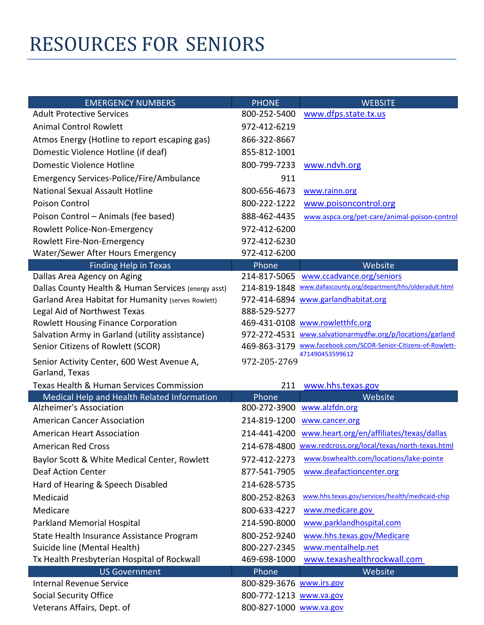## RESOURCES FOR SENIORS

| <b>EMERGENCY NUMBERS</b>                                     | <b>PHONE</b>             | <b>WEBSITE</b>                                                                    |
|--------------------------------------------------------------|--------------------------|-----------------------------------------------------------------------------------|
| <b>Adult Protective Services</b>                             | 800-252-5400             | www.dfps.state.tx.us                                                              |
| <b>Animal Control Rowlett</b>                                | 972-412-6219             |                                                                                   |
| Atmos Energy (Hotline to report escaping gas)                | 866-322-8667             |                                                                                   |
| Domestic Violence Hotline (if deaf)                          | 855-812-1001             |                                                                                   |
| Domestic Violence Hotline                                    | 800-799-7233             | www.ndvh.org                                                                      |
| Emergency Services-Police/Fire/Ambulance                     | 911                      |                                                                                   |
| National Sexual Assault Hotline                              | 800-656-4673             | www.rainn.org                                                                     |
| <b>Poison Control</b>                                        | 800-222-1222             | www.poisoncontrol.org                                                             |
| Poison Control - Animals (fee based)                         | 888-462-4435             | www.aspca.org/pet-care/animal-poison-control                                      |
| Rowlett Police-Non-Emergency                                 | 972-412-6200             |                                                                                   |
| Rowlett Fire-Non-Emergency                                   | 972-412-6230             |                                                                                   |
| Water/Sewer After Hours Emergency                            | 972-412-6200             |                                                                                   |
| <b>Finding Help in Texas</b>                                 | Phone                    | Website                                                                           |
| Dallas Area Agency on Aging                                  | 214-817-5065             | www.ccadvance.org/seniors                                                         |
| Dallas County Health & Human Services (energy asst)          | 214-819-1848             | www.dallascounty.org/department/hhs/olderadult.html                               |
| <b>Garland Area Habitat for Humanity (serves Rowlett)</b>    |                          | 972-414-6894 www.garlandhabitat.org                                               |
| Legal Aid of Northwest Texas                                 | 888-529-5277             |                                                                                   |
| <b>Rowlett Housing Finance Corporation</b>                   |                          | 469-431-0108 www.rowletthfc.org                                                   |
| Salvation Army in Garland (utility assistance)               |                          | 972-272-4531 www.salvationarmydfw.org/p/locations/garland                         |
| Senior Citizens of Rowlett (SCOR)                            |                          | 469-863-3179 www.facebook.com/SCOR-Senior-Citizens-of-Rowlett-<br>471490453599612 |
| Senior Activity Center, 600 West Avenue A,<br>Garland, Texas | 972-205-2769             |                                                                                   |
| Texas Health & Human Services Commission                     | 211                      | www.hhs.texas.gov                                                                 |
| Medical Help and Health Related Information                  | Phone                    | Website                                                                           |
| Alzheimer's Association                                      | 800-272-3900             | www.alzfdn.org                                                                    |
| <b>American Cancer Association</b>                           | 214-819-1200             | www.cancer.org                                                                    |
| <b>American Heart Association</b>                            | 214-441-4200             | www.heart.org/en/affiliates/texas/dallas                                          |
| <b>American Red Cross</b>                                    |                          | 214-678-4800 www.redcross.org/local/texas/north-texas.html                        |
| Baylor Scott & White Medical Center, Rowlett                 | 972-412-2273             | www.bswhealth.com/locations/lake-pointe                                           |
| <b>Deaf Action Center</b>                                    | 877-541-7905             | www.deafactioncenter.org                                                          |
| Hard of Hearing & Speech Disabled                            | 214-628-5735             |                                                                                   |
| Medicaid                                                     | 800-252-8263             | www.hhs.texas.gov/services/health/medicaid-chip                                   |
| Medicare                                                     | 800-633-4227             | www.medicare.gov                                                                  |
| <b>Parkland Memorial Hospital</b>                            | 214-590-8000             | www.parklandhospital.com                                                          |
| State Health Insurance Assistance Program                    | 800-252-9240             | www.hhs.texas.gov/Medicare                                                        |
| Suicide line (Mental Health)                                 | 800-227-2345             | www.mentalhelp.net                                                                |
| Tx Health Presbyterian Hospital of Rockwall                  | 469-698-1000             | www.texashealthrockwall.com                                                       |
| <b>US Government</b>                                         | Phone                    | Website                                                                           |
| <b>Internal Revenue Service</b>                              | 800-829-3676 www.irs.gov |                                                                                   |
| Social Security Office                                       | 800-772-1213 www.va.gov  |                                                                                   |
| Veterans Affairs, Dept. of                                   | 800-827-1000 www.va.gov  |                                                                                   |